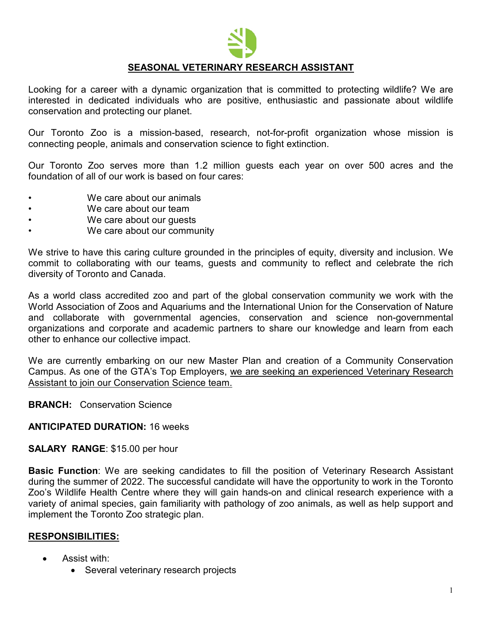

# **SEASONAL VETERINARY RESEARCH ASSISTANT**

Looking for a career with a dynamic organization that is committed to protecting wildlife? We are interested in dedicated individuals who are positive, enthusiastic and passionate about wildlife conservation and protecting our planet.

Our Toronto Zoo is a mission-based, research, not-for-profit organization whose mission is connecting people, animals and conservation science to fight extinction.

Our Toronto Zoo serves more than 1.2 million guests each year on over 500 acres and the foundation of all of our work is based on four cares:

- We care about our animals
- We care about our team
- We care about our guests
- We care about our community

We strive to have this caring culture grounded in the principles of equity, diversity and inclusion. We commit to collaborating with our teams, guests and community to reflect and celebrate the rich diversity of Toronto and Canada.

As a world class accredited zoo and part of the global conservation community we work with the World Association of Zoos and Aquariums and the International Union for the Conservation of Nature and collaborate with governmental agencies, conservation and science non-governmental organizations and corporate and academic partners to share our knowledge and learn from each other to enhance our collective impact.

We are currently embarking on our new Master Plan and creation of a Community Conservation Campus. As one of the GTA's Top Employers, we are seeking an experienced Veterinary Research Assistant to join our Conservation Science team.

**BRANCH:** Conservation Science

#### **ANTICIPATED DURATION:** 16 weeks

#### **SALARY RANGE**: \$15.00 per hour

**Basic Function**: We are seeking candidates to fill the position of Veterinary Research Assistant during the summer of 2022. The successful candidate will have the opportunity to work in the Toronto Zoo's Wildlife Health Centre where they will gain hands-on and clinical research experience with a variety of animal species, gain familiarity with pathology of zoo animals, as well as help support and implement the Toronto Zoo strategic plan.

#### **RESPONSIBILITIES:**

- Assist with:
	- Several veterinary research projects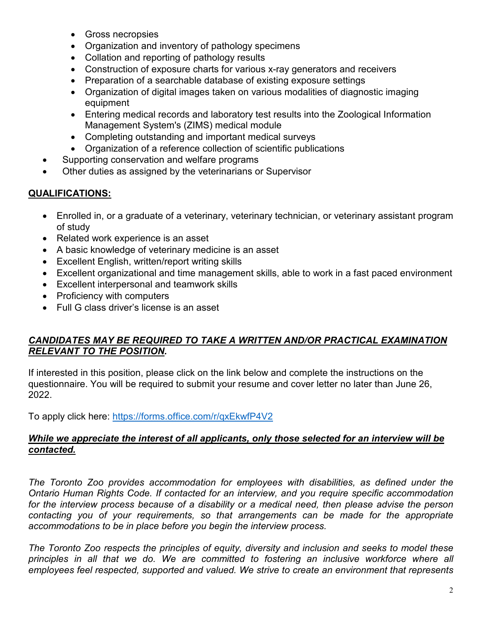- Gross necropsies
- Organization and inventory of pathology specimens
- Collation and reporting of pathology results
- Construction of exposure charts for various x-ray generators and receivers
- Preparation of a searchable database of existing exposure settings
- Organization of digital images taken on various modalities of diagnostic imaging equipment
- Entering medical records and laboratory test results into the Zoological Information Management System's (ZIMS) medical module
- Completing outstanding and important medical surveys
- Organization of a reference collection of scientific publications
- Supporting conservation and welfare programs
- Other duties as assigned by the veterinarians or Supervisor

# **QUALIFICATIONS:**

- Enrolled in, or a graduate of a veterinary, veterinary technician, or veterinary assistant program of study
- Related work experience is an asset
- A basic knowledge of veterinary medicine is an asset
- Excellent English, written/report writing skills
- Excellent organizational and time management skills, able to work in a fast paced environment
- Excellent interpersonal and teamwork skills
- Proficiency with computers
- Full G class driver's license is an asset

# *CANDIDATES MAY BE REQUIRED TO TAKE A WRITTEN AND/OR PRACTICAL EXAMINATION RELEVANT TO THE POSITION.*

If interested in this position, please click on the link below and complete the instructions on the questionnaire. You will be required to submit your resume and cover letter no later than June 26, 2022.

To apply click here:<https://forms.office.com/r/qxEkwfP4V2>

### *While we appreciate the interest of all applicants, only those selected for an interview will be contacted.*

*The Toronto Zoo provides accommodation for employees with disabilities, as defined under the Ontario Human Rights Code. If contacted for an interview, and you require specific accommodation*  for the interview process because of a disability or a medical need, then please advise the person *contacting you of your requirements, so that arrangements can be made for the appropriate accommodations to be in place before you begin the interview process.*

*The Toronto Zoo respects the principles of equity, diversity and inclusion and seeks to model these*  principles in all that we do. We are committed to fostering an inclusive workforce where all *employees feel respected, supported and valued. We strive to create an environment that represents*